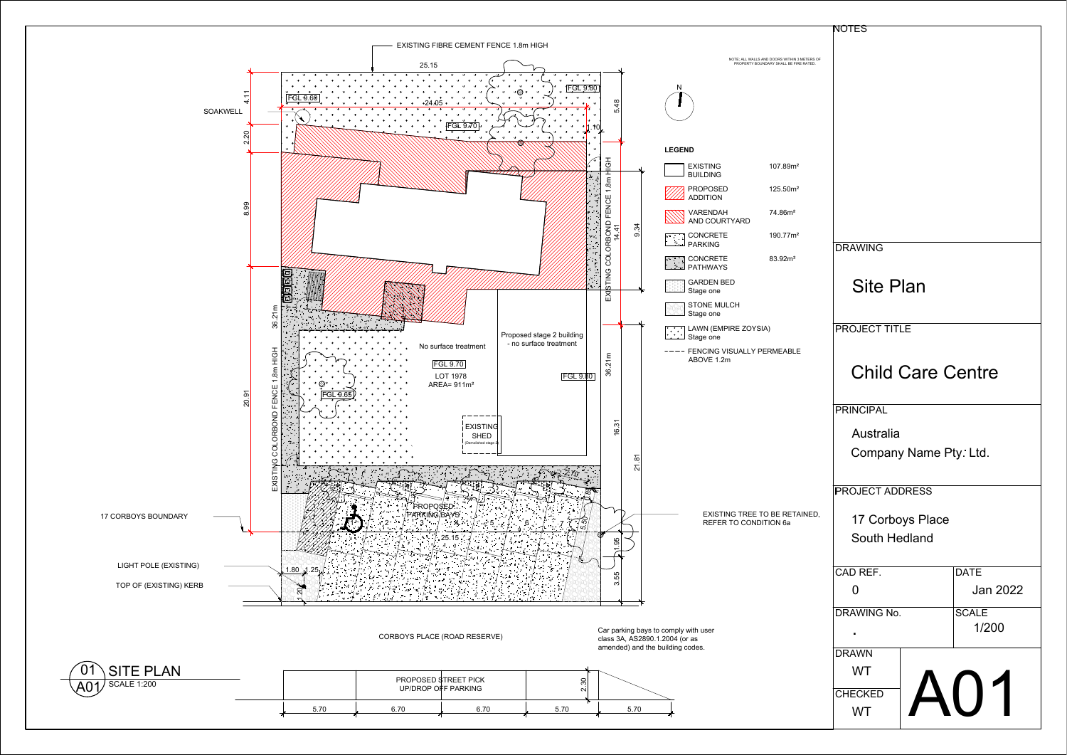

|                                                                                        | <b>NOTES</b>             |                 |
|----------------------------------------------------------------------------------------|--------------------------|-----------------|
|                                                                                        |                          |                 |
| NOTE; ALL WALLS AND DOORS WITHIN 3 METERS OF<br>PROPERTY BOUNDARY SHALL BE FIRE RATED. |                          |                 |
|                                                                                        |                          |                 |
|                                                                                        |                          |                 |
|                                                                                        |                          |                 |
|                                                                                        |                          |                 |
| 107.89m <sup>2</sup>                                                                   |                          |                 |
|                                                                                        |                          |                 |
| 125.50m <sup>2</sup>                                                                   |                          |                 |
| 74.86m <sup>2</sup><br><b>YARD</b>                                                     |                          |                 |
| 190.77m <sup>2</sup>                                                                   |                          |                 |
| 83.92m <sup>2</sup>                                                                    | <b>DRAWING</b>           |                 |
| D                                                                                      |                          |                 |
|                                                                                        | <b>Site Plan</b>         |                 |
| CH                                                                                     |                          |                 |
| IRE ZOYSIA)                                                                            | <b>PROJECT TITLE</b>     |                 |
| SUALLY PERMEABLE                                                                       |                          |                 |
|                                                                                        | <b>Child Care Centre</b> |                 |
|                                                                                        |                          |                 |
|                                                                                        | PRINCIPAL                |                 |
|                                                                                        |                          |                 |
|                                                                                        | Australia                |                 |
|                                                                                        | Company Name Pty. Ltd.   |                 |
|                                                                                        |                          |                 |
|                                                                                        | <b>PROJECT ADDRESS</b>   |                 |
| IG TREE TO BE RETAINED,<br>TO CONDITION 6a                                             | 17 Corboys Place         |                 |
|                                                                                        | South Hedland            |                 |
|                                                                                        |                          |                 |
|                                                                                        | CAD REF.                 | DATE            |
|                                                                                        | $\overline{0}$           | <b>Jan 2022</b> |
|                                                                                        | DRAWING No.              | SCALE           |
|                                                                                        |                          | 1/200           |
|                                                                                        | $\sim 10^{-1}$           |                 |
|                                                                                        | <b>DRAWN</b>             |                 |
|                                                                                        | WT                       | $\blacksquare$  |
|                                                                                        | CHECKED                  |                 |
|                                                                                        | WT                       |                 |
|                                                                                        |                          |                 |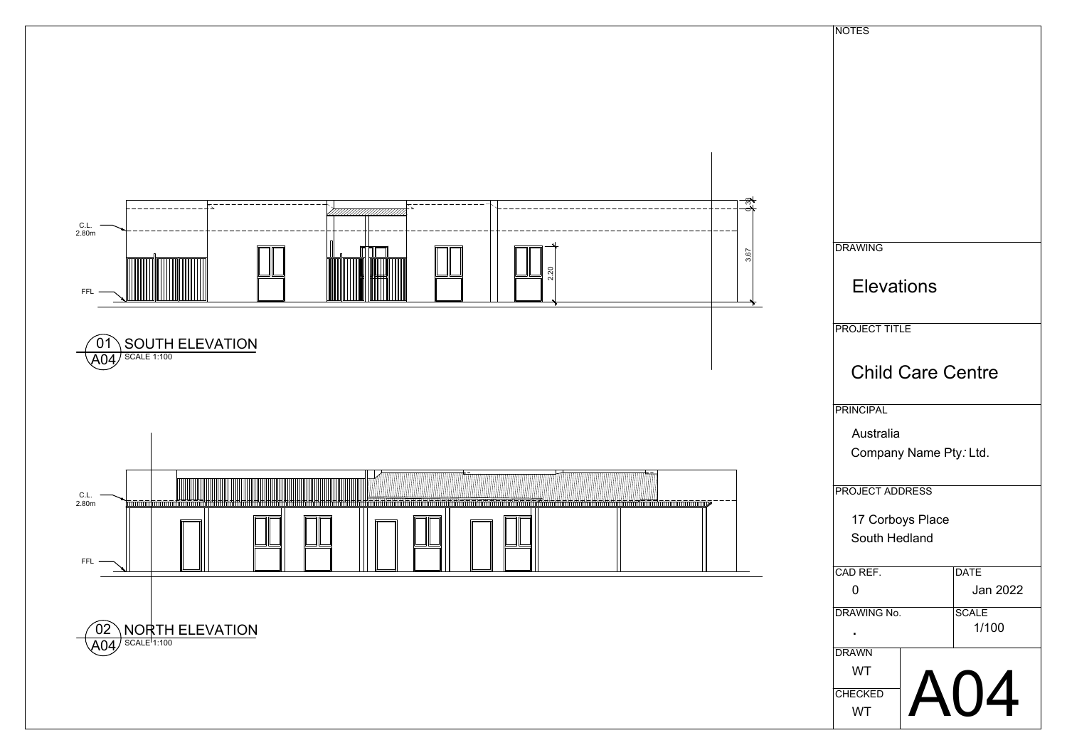| NOTES                      |  |  |  |
|----------------------------|--|--|--|
|                            |  |  |  |
|                            |  |  |  |
|                            |  |  |  |
|                            |  |  |  |
|                            |  |  |  |
|                            |  |  |  |
|                            |  |  |  |
|                            |  |  |  |
|                            |  |  |  |
|                            |  |  |  |
| <b>DRAWING</b>             |  |  |  |
|                            |  |  |  |
| <b>Elevations</b>          |  |  |  |
|                            |  |  |  |
| <b>PROJECT TITLE</b>       |  |  |  |
|                            |  |  |  |
| <b>Child Care Centre</b>   |  |  |  |
|                            |  |  |  |
| PRINCIPAL                  |  |  |  |
| Australia                  |  |  |  |
| Company Name Pty. Ltd.     |  |  |  |
|                            |  |  |  |
| <b>PROJECT ADDRESS</b>     |  |  |  |
|                            |  |  |  |
| 17 Corboys Place           |  |  |  |
| South Hedland              |  |  |  |
| CAD REF.<br>DATE           |  |  |  |
| Jan 2022<br>$\overline{0}$ |  |  |  |
| DRAWING No.<br> SCALE      |  |  |  |
| 1/100<br>$\sim 10^{-1}$    |  |  |  |
| DRAWN                      |  |  |  |
| WT                         |  |  |  |
| A04<br>CHECKED             |  |  |  |
| WT                         |  |  |  |
|                            |  |  |  |